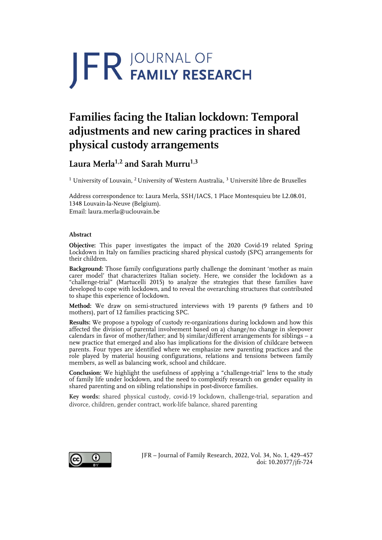# **JFR JOURNAL OF**

## **Families facing the Italian lockdown: Temporal adjustments and new caring practices in shared physical custody arrangements**

### **Laura Merla1,2 and Sarah Murru1,3**

<sup>1</sup> University of Louvain, <sup>2</sup> University of Western Australia, <sup>3</sup> Université libre de Bruxelles

Address correspondence to: Laura Merla, SSH/IACS, 1 Place Montesquieu bte L2.08.01, 1348 Louvain-la-Neuve (Belgium). Email: laura.merla@uclouvain.be

#### **Abstract**

**Objective:** This paper investigates the impact of the 2020 Covid-19 related Spring Lockdown in Italy on families practicing shared physical custody (SPC) arrangements for their children.

**Background:** Those family configurations partly challenge the dominant 'mother as main carer model' that characterizes Italian society. Here, we consider the lockdown as a "challenge-trial" (Martucelli 2015) to analyze the strategies that these families have developed to cope with lockdown, and to reveal the overarching structures that contributed to shape this experience of lockdown.

**Method:** We draw on semi-structured interviews with 19 parents (9 fathers and 10 mothers), part of 12 families practicing SPC.

**Results:** We propose a typology of custody re-organizations during lockdown and how this affected the division of parental involvement based on a) change/no change in sleepover calendars in favor of mother/father; and b) similar/different arrangements for siblings – a new practice that emerged and also has implications for the division of childcare between parents. Four types are identified where we emphasize new parenting practices and the role played by material housing configurations, relations and tensions between family members, as well as balancing work, school and childcare.

**Conclusion:** We highlight the usefulness of applying a "challenge-trial" lens to the study of family life under lockdown, and the need to complexify research on gender equality in shared parenting and on sibling relationships in post-divorce families.

**Key words:** shared physical custody, covid-19 lockdown, challenge-trial, separation and divorce, children, gender contract, work-life balance, shared parenting



JFR – Journal of Family Research, 2022, Vol. 34, No. 1, 429–457 doi: 10.20377/jfr-724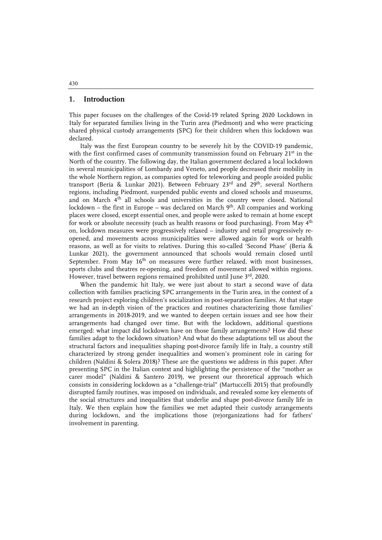#### **1. Introduction**

This paper focuses on the challenges of the Covid-19 related Spring 2020 Lockdown in Italy for separated families living in the Turin area (Piedmont) and who were practicing shared physical custody arrangements (SPC) for their children when this lockdown was declared.

Italy was the first European country to be severely hit by the COVID-19 pandemic, with the first confirmed cases of community transmission found on February 21<sup>st</sup> in the North of the country. The following day, the Italian government declared a local lockdown in several municipalities of Lombardy and Veneto, and people decreased their mobility in the whole Northern region, as companies opted for teleworking and people avoided public transport (Beria & Lunkar 2021). Between February  $23^{rd}$  and  $29^{th}$ , several Northern regions, including Piedmont, suspended public events and closed schools and museums, and on March 4th all schools and universities in the country were closed. National lockdown – the first in Europe – was declared on March  $9<sup>th</sup>$ . All companies and working places were closed, except essential ones, and people were asked to remain at home except for work or absolute necessity (such as health reasons or food purchasing). From May 4<sup>th</sup> on, lockdown measures were progressively relaxed – industry and retail progressively reopened, and movements across municipalities were allowed again for work or health reasons, as well as for visits to relatives. During this so-called 'Second Phase' (Beria & Lunkar 2021), the government announced that schools would remain closed until September. From May  $16<sup>th</sup>$  on measures were further relaxed, with most businesses, sports clubs and theatres re-opening, and freedom of movement allowed within regions. However, travel between regions remained prohibited until June 3rd, 2020.

When the pandemic hit Italy, we were just about to start a second wave of data collection with families practicing SPC arrangements in the Turin area, in the context of a research project exploring children's socialization in post-separation families. At that stage we had an in-depth vision of the practices and routines characterizing those families' arrangements in 2018-2019, and we wanted to deepen certain issues and see how their arrangements had changed over time. But with the lockdown, additional questions emerged: what impact did lockdown have on those family arrangements? How did these families adapt to the lockdown situation? And what do these adaptations tell us about the structural factors and inequalities shaping post-divorce family life in Italy, a country still characterized by strong gender inequalities and women's prominent role in caring for children (Naldini & Solera 2018)? These are the questions we address in this paper. After presenting SPC in the Italian context and highlighting the persistence of the "mother as carer model" (Naldini & Santero 2019), we present our theoretical approach which consists in considering lockdown as a "challenge-trial" (Martuccelli 2015) that profoundly disrupted family routines, was imposed on individuals, and revealed some key elements of the social structures and inequalities that underlie and shape post-divorce family life in Italy. We then explain how the families we met adapted their custody arrangements during lockdown, and the implications those (re)organizations had for fathers' involvement in parenting.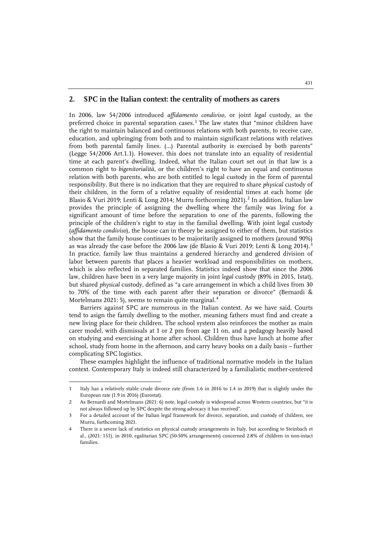#### **2. SPC in the Italian context: the centrality of mothers as carers**

In 2006, law 54/2006 introduced *affidamento condiviso*, or joint *legal* custody, as the preferred choice in parental separation cases.<sup>[1](#page-2-0)</sup> The law states that "minor children have the right to maintain balanced and continuous relations with both parents, to receive care, education, and upbringing from both and to maintain significant relations with relatives from both parental family lines. (…) Parental authority is exercised by both parents" (Legge 54/2006 Art.1.1). However, this does not translate into an equality of residential time at each parent's dwelling. Indeed, what the Italian court set out in that law is a common right to *bigenitorialità*, or the children's right to have an equal and continuous relation with both parents, who are both entitled to legal custody in the form of parental responsibility. But there is no indication that they are required to share *physical* custody of their children, in the form of a relative equality of residential times at each home (de Blasio & Vuri [2](#page-2-1)019; Lenti & Long 2014; Murru forthcoming 2021).<sup>2</sup> In addition, Italian law provides the principle of assigning the dwelling where the family was living for a significant amount of time before the separation to one of the parents, following the principle of the children's right to stay in the familial dwelling. With joint legal custody (*affidamento condiviso*), the house can in theory be assigned to either of them, but statistics show that the family house continues to be majoritarily assigned to mothers (around 90%) as was already the case before the 2006 law (de Blasio & Vuri 2019; Lenti & Long 2014).<sup>[3](#page-2-2)</sup> In practice, family law thus maintains a gendered hierarchy and gendered division of labor between parents that places a heavier workload and responsibilities on mothers, which is also reflected in separated families. Statistics indeed show that since the 2006 law, children have been in a very large majority in joint *legal* custody (89% in 2015, Istat), but shared *physical* custody, defined as "a care arrangement in which a child lives from 30 to 70% of the time with each parent after their separation or divorce" (Bernardi & Mortelmans 2021: 5), seems to remain quite marginal.<sup>[4](#page-2-3)</sup>

Barriers against SPC are numerous in the Italian context. As we have said, Courts tend to asign the family dwelling to the mother, meaning fathers must find and create a new living place for their children. The school system also reinforces the mother as main carer model, with dismissals at 1 or 2 pm from age 11 on, and a pedagogy heavily based on studying and exercising at home after school. Children thus have lunch at home after school, study from home in the afternoon, and carry heavy books on a daily basis – further complicating SPC logistics.

These examples highlight the influence of traditional normative models in the Italian context. Contemporary Italy is indeed still characterized by a familialistic mother-centered

 $\ddot{ }$ 

<span id="page-2-0"></span><sup>1</sup> Italy has a relatively stable crude divorce rate (from 1.6 in 2016 to 1.4 in 2019) that is slightly under the European rate (1.9 in 2016) (Eurostat).

<span id="page-2-1"></span><sup>2</sup> As Bernardi and Mortelmans (2021: 6) note, legal custody is widespread across Western countries, but "it is not always followed up by SPC despite the strong advocacy it has received".

<span id="page-2-2"></span><sup>3</sup> For a detailed account of the Italian legal framework for divorce, separation, and custody of children, see Murru, forthcoming 2021.

<span id="page-2-3"></span><sup>4</sup> There is a severe lack of statistics on physical custody arrangements in Italy, but according to Steinbach et al., (2021: 151), in 2010, egalitarian SPC (50-50% arrangements) concerned 2.8% of children in non-intact families.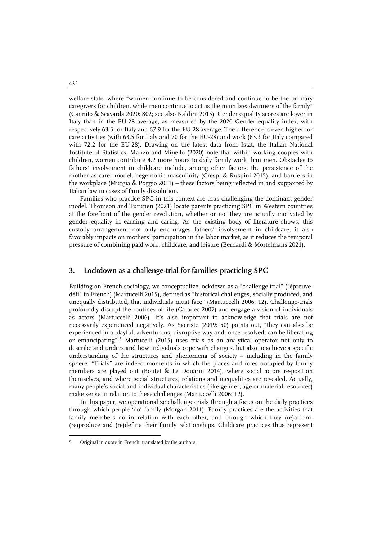welfare state, where "women continue to be considered and continue to be the primary caregivers for children, while men continue to act as the main breadwinners of the family" (Cannito & Scavarda 2020: 802; see also Naldini 2015). Gender equality scores are lower in Italy than in the EU-28 average, as measured by the 2020 Gender equality index, with respectively 63.5 for Italy and 67.9 for the EU 28-average. The difference is even higher for care activities (with 63.5 for Italy and 70 for the EU-28) and work (63.3 for Italy compared with 72.2 for the EU-28). Drawing on the latest data from Istat, the Italian National Institute of Statistics, Manzo and Minello (2020) note that within working couples with children, women contribute 4.2 more hours to daily family work than men. Obstacles to fathers' involvement in childcare include, among other factors, the persistence of the mother as carer model, hegemonic masculinity (Crespi & Ruspini 2015), and barriers in the workplace (Murgia & Poggio 2011) – these factors being reflected in and supported by Italian law in cases of family dissolution.

Families who practice SPC in this context are thus challenging the dominant gender model. Thomson and Turunen (2021) locate parents practicing SPC in Western countries at the forefront of the gender revolution, whether or not they are actually motivated by gender equality in earning and caring. As the existing body of literature shows, this custody arrangement not only encourages fathers' involvement in childcare, it also favorably impacts on mothers' participation in the labor market, as it reduces the temporal pressure of combining paid work, childcare, and leisure (Bernardi & Mortelmans 2021).

#### **3. Lockdown as a challenge-trial for families practicing SPC**

Building on French sociology, we conceptualize lockdown as a "challenge-trial" ("épreuvedéfi" in French) (Martucelli 2015), defined as "historical challenges, socially produced, and unequally distributed, that individuals must face" (Martuccelli 2006: 12). Challenge-trials profoundly disrupt the routines of life (Caradec 2007) and engage a vision of individuals as actors (Martuccelli 2006). It's also important to acknowledge that trials are not necessarily experienced negatively. As Sacriste (2019: 50) points out, "they can also be experienced in a playful, adventurous, disruptive way and, once resolved, can be liberating or emancipating".[5](#page-3-0) Martucelli (2015) uses trials as an analytical operator not only to describe and understand how individuals cope with changes, but also to achieve a specific understanding of the structures and phenomena of society – including in the family sphere. "Trials" are indeed moments in which the places and roles occupied by family members are played out (Boutet & Le Douarin 2014), where social actors re-position themselves, and where social structures, relations and inequalities are revealed. Actually, many people's social and individual characteristics (like gender, age or material resources) make sense in relation to these challenges (Martuccelli 2006: 12).

In this paper, we operationalize challenge-trials through a focus on the daily practices through which people 'do' family (Morgan 2011). Family practices are the activities that family members do in relation with each other, and through which they (re)affirm, (re)produce and (re)define their family relationships. Childcare practices thus represent

 $\ddot{ }$ 

432

<span id="page-3-0"></span><sup>5</sup> Original in quote in French, translated by the authors.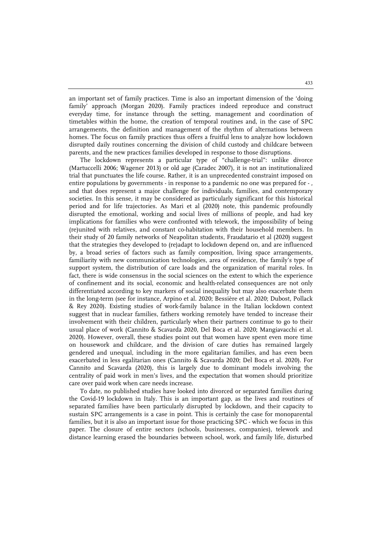an important set of family practices. Time is also an important dimension of the 'doing family' approach (Morgan 2020). Family practices indeed reproduce and construct everyday time, for instance through the setting, management and coordination of timetables within the home, the creation of temporal routines and, in the case of SPC arrangements, the definition and management of the rhythm of alternations between homes. The focus on family practices thus offers a fruitful lens to analyze how lockdown disrupted daily routines concerning the division of child custody and childcare between parents, and the new practices families developed in response to those disruptions.

The lockdown represents a particular type of "challenge-trial": unlike divorce (Martuccelli 2006; Wagener 2013) or old age (Caradec 2007), it is not an institutionalized trial that punctuates the life course. Rather, it is an unprecedented constraint imposed on entire populations by governments - in response to a pandemic no one was prepared for - , and that does represent a major challenge for individuals, families, and contemporary societies. In this sense, it may be considered as particularly significant for this historical period and for life trajectories. As Mari et al (2020) note, this pandemic profoundly disrupted the emotional, working and social lives of millions of people, and had key implications for families who were confronted with telework, the impossibility of being (re)united with relatives, and constant co-habitation with their household members. In their study of 20 family networks of Neapolitan students, Fraudatario et al (2020) suggest that the strategies they developed to (re)adapt to lockdown depend on, and are influenced by, a broad series of factors such as family composition, living space arrangements, familiarity with new communication technologies, area of residence, the family's type of support system, the distribution of care loads and the organization of marital roles. In fact, there is wide consensus in the social sciences on the extent to which the experience of confinement and its social, economic and health-related consequences are not only differentiated according to key markers of social inequality but may also exacerbate them in the long-term (see for instance, Arpino et al. 2020; Bessière et al. 2020; Dubost, Pollack & Rey 2020). Existing studies of work-family balance in the Italian lockdown context suggest that in nuclear families, fathers working remotely have tended to increase their involvement with their children, particularly when their partners continue to go to their usual place of work (Cannito & Scavarda 2020, Del Boca et al. 2020; Mangiavacchi et al. 2020). However, overall, these studies point out that women have spent even more time on housework and childcare, and the division of care duties has remained largely gendered and unequal, including in the more egalitarian families, and has even been exacerbated in less egalitarian ones (Cannito & Scavarda 2020; Del Boca et al. 2020). For Cannito and Scavarda (2020), this is largely due to dominant models involving the centrality of paid work in men's lives, and the expectation that women should prioritize care over paid work when care needs increase.

To date, no published studies have looked into divorced or separated families during the Covid-19 lockdown in Italy. This is an important gap, as the lives and routines of separated families have been particularly disrupted by lockdown, and their capacity to sustain SPC arrangements is a case in point. This is certainly the case for monoparental families, but it is also an important issue for those practicing SPC - which we focus in this paper. The closure of entire sectors (schools, businesses, companies), telework and distance learning erased the boundaries between school, work, and family life, disturbed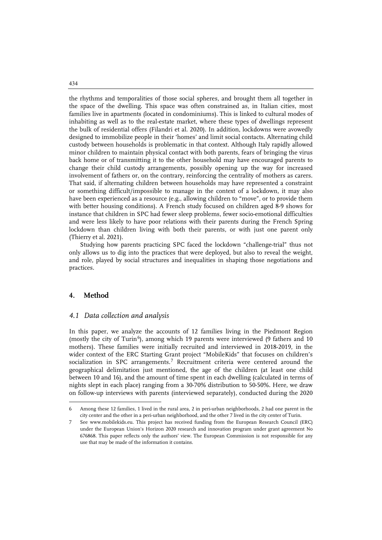the rhythms and temporalities of those social spheres, and brought them all together in the space of the dwelling. This space was often constrained as, in Italian cities, most families live in apartments (located in condominiums). This is linked to cultural modes of inhabiting as well as to the real-estate market, where these types of dwellings represent the bulk of residential offers (Filandri et al. 2020). In addition, lockdowns were avowedly designed to immobilize people in their 'homes' and limit social contacts. Alternating child custody between households is problematic in that context. Although Italy rapidly allowed minor children to maintain physical contact with both parents, fears of bringing the virus back home or of transmitting it to the other household may have encouraged parents to change their child custody arrangements, possibly opening up the way for increased involvement of fathers or, on the contrary, reinforcing the centrality of mothers as carers. That said, if alternating children between households may have represented a constraint or something difficult/impossible to manage in the context of a lockdown, it may also have been experienced as a resource (e.g., allowing children to "move", or to provide them with better housing conditions). A French study focused on children aged 8-9 shows for instance that children in SPC had fewer sleep problems, fewer socio-emotional difficulties and were less likely to have poor relations with their parents during the French Spring lockdown than children living with both their parents, or with just one parent only (Thierry et al. 2021).

Studying how parents practicing SPC faced the lockdown "challenge-trial" thus not only allows us to dig into the practices that were deployed, but also to reveal the weight, and role, played by social structures and inequalities in shaping those negotiations and practices.

#### **4. Method**

j

#### *4.1 Data collection and analysis*

In this paper, we analyze the accounts of 12 families living in the Piedmont Region (mostly the city of Turin<sup>[6](#page-5-0)</sup>), among which 19 parents were interviewed (9 fathers and 10 mothers). These families were initially recruited and interviewed in 2018-2019, in the wider context of the ERC Starting Grant project "MobileKids" that focuses on children's socialization in SPC arrangements.<sup>[7](#page-5-1)</sup> Recruitment criteria were centered around the geographical delimitation just mentioned, the age of the children (at least one child between 10 and 16), and the amount of time spent in each dwelling (calculated in terms of nights slept in each place) ranging from a 30-70% distribution to 50-50%. Here, we draw on follow-up interviews with parents (interviewed separately), conducted during the 2020

434

<span id="page-5-0"></span><sup>6</sup> Among these 12 families, 1 lived in the rural area, 2 in peri-urban neighborhoods, 2 had one parent in the city center and the other in a peri-urban neighborhood, and the other 7 lived in the city center of Turin.

<span id="page-5-1"></span><sup>7</sup> See www.mobilekids.eu. This project has received funding from the European Research Council (ERC) under the European Union's Horizon 2020 research and innovation program under grant agreement No 676868. This paper reflects only the authors' view. The European Commission is not responsible for any use that may be made of the information it contains.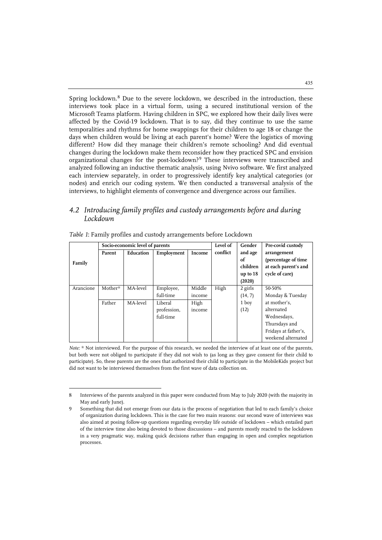Spring lockdown.<sup>[8](#page-6-0)</sup> Due to the severe lockdown, we described in the introduction, these interviews took place in a virtual form, using a secured institutional version of the Microsoft Teams platform. Having children in SPC, we explored how their daily lives were affected by the Covid-19 lockdown. That is to say, did they continue to use the same temporalities and rhythms for home swappings for their children to age 18 or change the days when children would be living at each parent's home? Were the logistics of moving different? How did they manage their children's remote schooling? And did eventual changes during the lockdown make them reconsider how they practiced SPC and envision organizational changes for the post-lockdown?[9](#page-6-1) These interviews were transcribed and analyzed following an inductive thematic analysis, using Nvivo software. We first analyzed each interview separately, in order to progressively identify key analytical categories (or nodes) and enrich our coding system. We then conducted a transversal analysis of the interviews, to highlight elements of convergence and divergence across our families.

#### *4.2 Introducing family profiles and custody arrangements before and during Lockdown*

|           |         | Socio-economic level of parents |             |        | Level of | Gender     | Pre-covid custody    |
|-----------|---------|---------------------------------|-------------|--------|----------|------------|----------------------|
|           | Parent  | Education                       | Employment  | Income | conflict | and age    | arrangement          |
| Family    |         |                                 |             |        |          | of         | (percentage of time  |
|           |         |                                 |             |        |          | children   | at each parent's and |
|           |         |                                 |             |        |          | up to $18$ | cycle of care)       |
|           |         |                                 |             |        |          | (2020)     |                      |
| Arancione | Mother* | MA-level                        | Employee,   | Middle | High     | 2 girls    | 50-50%               |
|           |         |                                 | full-time   | income |          | (14, 7)    | Monday & Tuesday     |
|           | Father  | MA-level                        | Liberal     | High   |          | 1 boy      | at mother's.         |
|           |         |                                 | profession, | income |          | (12)       | alternated           |
|           |         |                                 | full time   |        |          |            | Wednesdays,          |
|           |         |                                 |             |        |          |            | Thursdays and        |
|           |         |                                 |             |        |          |            | Fridays at father's, |
|           |         |                                 |             |        |          |            | weekend alternated   |

|  |  |  |  |  |  |  | Table 1: Family profiles and custody arrangements before Lockdown |  |  |
|--|--|--|--|--|--|--|-------------------------------------------------------------------|--|--|
|--|--|--|--|--|--|--|-------------------------------------------------------------------|--|--|

j

*Note:* \* Not interviewed. For the purpose of this research, we needed the interview of at least one of the parents, but both were not obliged to participate if they did not wish to (as long as they gave consent for their child to participate). So, these parents are the ones that authorized their child to participate in the MobileKids project but did not want to be interviewed themselves from the first wave of data collection on.

<span id="page-6-1"></span><span id="page-6-0"></span><sup>8</sup> Interviews of the parents analyzed in this paper were conducted from May to July 2020 (with the majority in May and early June).

Something that did not emerge from our data is the process of negotiation that led to each family's choice of organization during lockdown. This is the case for two main reasons: our second wave of interviews was also aimed at posing follow-up questions regarding everyday life outside of lockdown – which entailed part of the interview time also being devoted to those discussions – and parents mostly reacted to the lockdown in a very pragmatic way, making quick decisions rather than engaging in open and complex negotiation processes.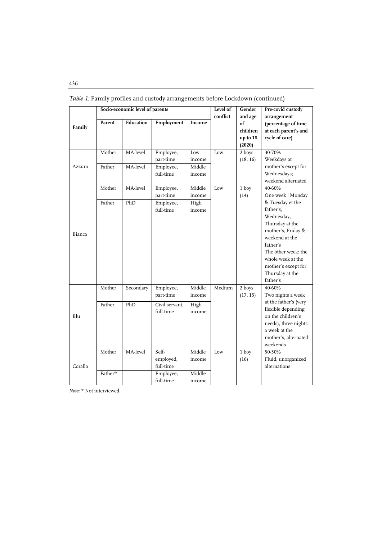|         |                   | Socio-economic level of parents |                                                           |                                      | Level of | Gender                                          | Pre-covid custody                                                                                                                                                                                                                                  |
|---------|-------------------|---------------------------------|-----------------------------------------------------------|--------------------------------------|----------|-------------------------------------------------|----------------------------------------------------------------------------------------------------------------------------------------------------------------------------------------------------------------------------------------------------|
| Family  | Parent            | Education                       | Employment                                                | Income                               | conflict | and age<br>of<br>children<br>up to 18<br>(2020) | arrangement<br>(percentage of time<br>at each parent's and<br>cycle of care)                                                                                                                                                                       |
| Azzuro  | Mother<br>Father  | MA-level<br>MA-level            | Employee,<br>part-time<br>Employee,<br>full-time          | Low<br>income<br>Middle<br>income    | Low      | 2 boys<br>(18, 16)                              | 30-70%<br>Weekdays at<br>mother's except for<br>Wednesdays;<br>weekend alternated                                                                                                                                                                  |
| Bianca  | Mother<br>Father  | MA-level<br>PhD                 | Employee,<br>part-time<br>Employee,<br>full-time          | Middle<br>income<br>High<br>income   | Low      | 1 boy<br>(14)                                   | 40-60%<br>One week: Monday<br>& Tuesday et the<br>father's,<br>Wednesday,<br>Thursday at the<br>mother's, Friday &<br>weekend at the<br>father's<br>The other week: the<br>whole week at the<br>mother's except for<br>Thursday at the<br>father's |
| Blu     | Mother<br>Father  | Secondary<br>PhD                | Employee,<br>part-time<br>Civil servant.<br>full-time     | Middle<br>income<br>High<br>income   | Medium   | 2 boys<br>(17, 15)                              | 40-60%<br>Two nights a week<br>at the father's (very<br>flexible depending<br>on the children's<br>needs), three nights<br>a week at the<br>mother's, alternated<br>weekends                                                                       |
| Corallo | Mother<br>Father* | MA-level                        | Self-<br>employed,<br>full-time<br>Employee,<br>full-time | Middle<br>income<br>Middle<br>income | Low      | $\overline{1 \text{ boy}}$<br>(16)              | 50-50%<br>Fluid, unorganized<br>alternations                                                                                                                                                                                                       |

*Table 1:* Family profiles and custody arrangements before Lockdown (continued)

*Note*: \* Not interviewed.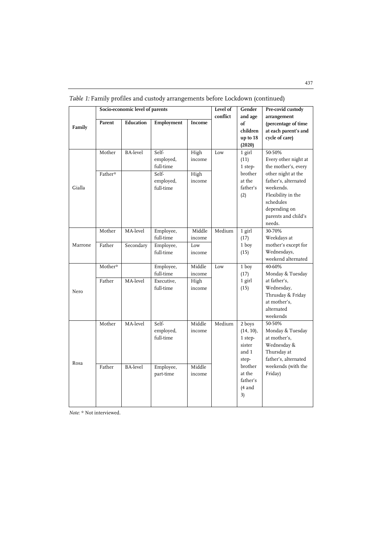|         |                   | Socio-economic level of parents |                                          |                        | Level of<br>conflict | Gender<br>and age                                          | Pre-covid custody<br>arrangement                                                                                      |
|---------|-------------------|---------------------------------|------------------------------------------|------------------------|----------------------|------------------------------------------------------------|-----------------------------------------------------------------------------------------------------------------------|
| Family  | Parent            | Education                       | Employment                               | Income                 |                      | of<br>children<br>up to 18<br>(2020)                       | (percentage of time<br>at each parent's and<br>cycle of care)                                                         |
|         | Mother<br>Father* | <b>BA-level</b>                 | Self-<br>employed,<br>full-time<br>Self- | High<br>income<br>High | Low                  | $1$ girl<br>(11)<br>1 step-<br>brother                     | 50-50%<br>Every other night at<br>the mother's, every<br>other night at the                                           |
| Gialla  |                   |                                 | employed,<br>full-time                   | income                 |                      | at the<br>father's<br>(2)                                  | father's, alternated<br>weekends.<br>Flexibility in the<br>schedules<br>depending on<br>parents and child's<br>needs. |
|         | Mother            | MA-level                        | Employee,<br>full-time                   | Middle<br>income       | Medium               | $1$ girl<br>(17)                                           | 30-70%<br>Weekdays at                                                                                                 |
| Marrone | Father            | Secondary                       | Employee,<br>full-time                   | Low<br>income          |                      | 1 boy<br>(15)                                              | mother's except for<br>Wednesdays,<br>weekend alternated                                                              |
|         | Mother*           |                                 | Employee,<br>full-time                   | Middle<br>income       | Low                  | $1$ boy<br>(17)                                            | 40-60%<br>Monday & Tuesday                                                                                            |
| Nero    | Father            | MA-level                        | Executive,<br>full-time                  | High<br>income         |                      | 1 girl<br>(15)                                             | at father's.<br>Wednesday,<br>Thrusday & Friday<br>at mother's.<br>alternated<br>weekends                             |
| Rosa    | Mother            | MA-level                        | Self-<br>employed,<br>full-time          | Middle<br>income       | Medium               | 2 boys<br>(14, 10),<br>1 step-<br>sister<br>and 1<br>step- | 50-50%<br>Monday & Tuesday<br>at mother's.<br>Wednesday &<br>Thursday at<br>father's, alternated                      |
|         | Father            | <b>BA-level</b>                 | Employee,<br>part-time                   | Middle<br>income       |                      | brother<br>at the<br>father's<br>(4 and<br>3)              | weekends (with the<br>Friday)                                                                                         |

*Table 1:* Family profiles and custody arrangements before Lockdown (continued)

*Note*: \* Not interviewed.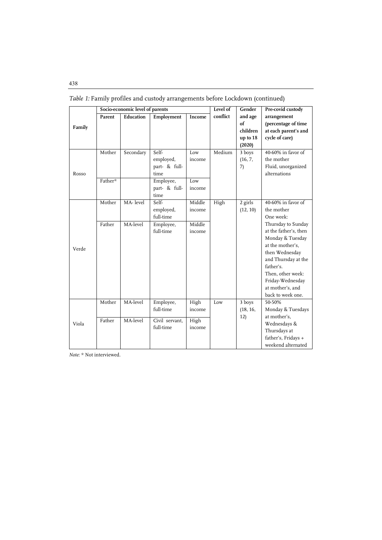|        |         | Socio-economic level of parents |                |        | Level of | Gender   | Pre-covid custody     |
|--------|---------|---------------------------------|----------------|--------|----------|----------|-----------------------|
|        | Parent  | Education                       | Employment     | Income | conflict | and age  | arrangement           |
| Family |         |                                 |                |        |          | of       | (percentage of time   |
|        |         |                                 |                |        |          | children | at each parent's and  |
|        |         |                                 |                |        |          | up to 18 | cycle of care)        |
|        |         |                                 |                |        |          | (2020)   |                       |
|        | Mother  | Secondary                       | Self-          | Low    | Medium   | 3 boys   | 40-60% in favor of    |
|        |         |                                 | employed,      | income |          | (16, 7,  | the mother            |
|        |         |                                 | part- & full-  |        |          | 7)       | Fluid, unorganized    |
| Rosso  |         |                                 | time           |        |          |          | alternations          |
|        | Father* |                                 | Employee,      | Low    |          |          |                       |
|        |         |                                 | part- & full-  | income |          |          |                       |
|        |         |                                 | time           |        |          |          |                       |
|        | Mother  | MA-level                        | Self-          | Middle | High     | 2 girls  | 40-60% in favor of    |
|        |         |                                 | employed,      | income |          | (12, 10) | the mother            |
|        |         |                                 | full-time      |        |          |          | One week:             |
|        | Father  | MA-level                        | Employee,      | Middle |          |          | Thursday to Sunday    |
|        |         |                                 | full-time      | income |          |          | at the father's, then |
|        |         |                                 |                |        |          |          | Monday & Tuesday      |
| Verde  |         |                                 |                |        |          |          | at the mother's.      |
|        |         |                                 |                |        |          |          | then Wednesday        |
|        |         |                                 |                |        |          |          | and Thursday at the   |
|        |         |                                 |                |        |          |          | father's.             |
|        |         |                                 |                |        |          |          | Then, other week:     |
|        |         |                                 |                |        |          |          | Friday-Wednesday      |
|        |         |                                 |                |        |          |          | at mother's, and      |
|        |         |                                 |                |        |          |          | back to week one.     |
|        | Mother  | MA-level                        | Employee,      | High   | Low      | 3 boys   | 50-50%                |
|        |         |                                 | full-time      | income |          | (18, 16, | Monday & Tuesdays     |
|        | Father  | MA-level                        | Civil servant, | High   |          | 12)      | at mother's,          |
| Viola  |         |                                 | full-time      | income |          |          | Wednesdays &          |
|        |         |                                 |                |        |          |          | Thursdays at          |
|        |         |                                 |                |        |          |          | father's, Fridays +   |
|        |         |                                 |                |        |          |          | weekend alternated    |

*Table 1:* Family profiles and custody arrangements before Lockdown (continued)

*Note*: \* Not interviewed.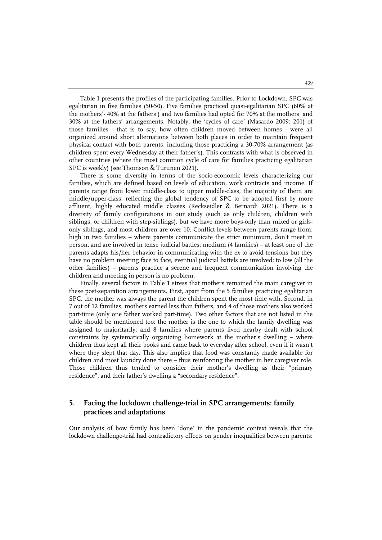Table 1 presents the profiles of the participating families. Prior to Lockdown, SPC was egalitarian in five families (50-50). Five families practiced quasi-egalitarian SPC (60% at the mothers'- 40% at the fathers') and two families had opted for 70% at the mothers' and 30% at the fathers' arrangements. Notably, the 'cycles of care' (Masardo 2009: 201) of those families - that is to say, how often children moved between homes - were all organized around short alternations between both places in order to maintain frequent physical contact with both parents, including those practicing a 30-70% arrangement (as children spent every Wednesday at their father's). This contrasts with what is observed in other countries (where the most common cycle of care for families practicing egalitarian SPC is weekly) (see Thomson & Turunen 2021).

There is some diversity in terms of the socio-economic levels characterizing our families, which are defined based on levels of education, work contracts and income. If parents range from lower middle-class to upper middle-class, the majority of them are middle/upper-class, reflecting the global tendency of SPC to be adopted first by more affluent, highly educated middle classes (Reckseidler & Bernardi 2021). There is a diversity of family configurations in our study (such as only children, children with siblings, or children with step-siblings), but we have more boys-only than mixed or girlsonly siblings, and most children are over 10. Conflict levels between parents range from: high in two families – where parents communicate the strict minimum, don't meet in person, and are involved in tense judicial battles; medium (4 families) – at least one of the parents adapts his/her behavior in communicating with the ex to avoid tensions but they have no problem meeting face to face, eventual judicial battels are involved; to low (all the other families) – parents practice a serene and frequent communication involving the children and meeting in person is no problem.

Finally, several factors in Table 1 stress that mothers remained the main caregiver in these post-separation arrangements. First, apart from the 5 families practicing egalitarian SPC, the mother was always the parent the children spent the most time with. Second, in 7 out of 12 families, mothers earned less than fathers, and 4 of those mothers also worked part-time (only one father worked part-time). Two other factors that are not listed in the table should be mentioned too: the mother is the one to which the family dwelling was assigned to majoritarily; and 8 families where parents lived nearby dealt with school constraints by systematically organizing homework at the mother's dwelling – where children thus kept all their books and came back to everyday after school, even if it wasn't where they slept that day. This also implies that food was constantly made available for children and most laundry done there – thus reinforcing the mother in her caregiver role. Those children thus tended to consider their mother's dwelling as their "primary residence", and their father's dwelling a "secondary residence".

#### **5. Facing the lockdown challenge-trial in SPC arrangements: family practices and adaptations**

Our analysis of how family has been 'done' in the pandemic context reveals that the lockdown challenge-trial had contradictory effects on gender inequalities between parents: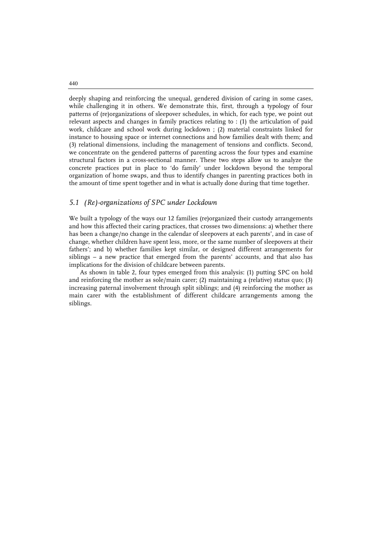deeply shaping and reinforcing the unequal, gendered division of caring in some cases, while challenging it in others. We demonstrate this, first, through a typology of four patterns of (re)organizations of sleepover schedules, in which, for each type, we point out relevant aspects and changes in family practices relating to : (1) the articulation of paid work, childcare and school work during lockdown ; (2) material constraints linked for instance to housing space or internet connections and how families dealt with them; and (3) relational dimensions, including the management of tensions and conflicts. Second, we concentrate on the gendered patterns of parenting across the four types and examine structural factors in a cross-sectional manner. These two steps allow us to analyze the concrete practices put in place to 'do family' under lockdown beyond the temporal organization of home swaps, and thus to identify changes in parenting practices both in the amount of time spent together and in what is actually done during that time together.

#### *5.1 (Re)-organizations of SPC under Lockdown*

We built a typology of the ways our 12 families (re)organized their custody arrangements and how this affected their caring practices, that crosses two dimensions: a) whether there has been a change/no change in the calendar of sleepovers at each parents', and in case of change, whether children have spent less, more, or the same number of sleepovers at their fathers'; and b) whether families kept similar, or designed different arrangements for siblings – a new practice that emerged from the parents' accounts, and that also has implications for the division of childcare between parents.

As shown in table 2, four types emerged from this analysis: (1) putting SPC on hold and reinforcing the mother as sole/main carer; (2) maintaining a (relative) status quo; (3) increasing paternal involvement through split siblings; and (4) reinforcing the mother as main carer with the establishment of different childcare arrangements among the siblings.

440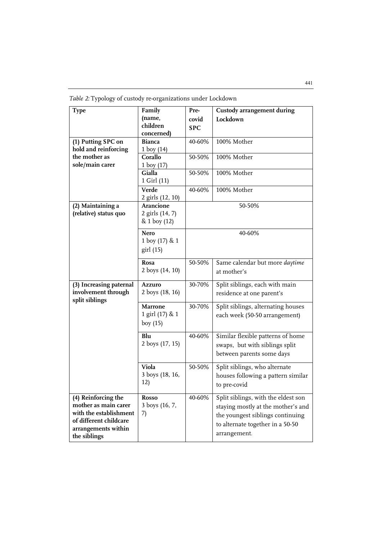| <b>Type</b>                                   | Family           | Pre-       | <b>Custody arrangement during</b>                |
|-----------------------------------------------|------------------|------------|--------------------------------------------------|
|                                               | (name,           | covid      | Lockdown                                         |
|                                               | children         | <b>SPC</b> |                                                  |
|                                               | concerned)       |            |                                                  |
| (1) Putting SPC on                            | <b>Bianca</b>    | 40-60%     | 100% Mother                                      |
| hold and reinforcing                          | 1 boy $(14)$     |            |                                                  |
| the mother as                                 | Corallo          | 50-50%     | 100% Mother                                      |
| sole/main carer                               | 1 boy $(17)$     |            |                                                  |
|                                               | Gialla           | 50-50%     | 100% Mother                                      |
|                                               | 1 Girl (11)      |            |                                                  |
|                                               | Verde            | 40-60%     | 100% Mother                                      |
|                                               | 2 girls (12, 10) |            |                                                  |
| (2) Maintaining a                             | Arancione        |            | 50-50%                                           |
| (relative) status quo                         | 2 girls (14, 7)  |            |                                                  |
|                                               | & 1 boy (12)     |            |                                                  |
|                                               | <b>Nero</b>      |            | 40-60%                                           |
|                                               | 1 boy (17) & 1   |            |                                                  |
|                                               | girl (15)        |            |                                                  |
|                                               |                  |            |                                                  |
|                                               | Rosa             | 50-50%     | Same calendar but more <i>daytime</i>            |
|                                               | 2 boys (14, 10)  |            | at mother's                                      |
| (3) Increasing paternal                       | <b>Azzuro</b>    | 30-70%     | Split siblings, each with main                   |
| involvement through                           | 2 boys (18, 16)  |            | residence at one parent's                        |
| split siblings                                |                  |            |                                                  |
|                                               | <b>Marrone</b>   | 30-70%     | Split siblings, alternating houses               |
|                                               | 1 girl (17) & 1  |            | each week (50-50 arrangement)                    |
|                                               | boy $(15)$       |            |                                                  |
|                                               | Blu              | 40-60%     | Similar flexible patterns of home                |
|                                               | 2 boys (17, 15)  |            | swaps, but with siblings split                   |
|                                               |                  |            | between parents some days                        |
|                                               |                  |            |                                                  |
|                                               | Viola            | 50-50%     | Split siblings, who alternate                    |
|                                               | 3 boys (18, 16,  |            | houses following a pattern similar               |
|                                               | 12)              |            | to pre-covid                                     |
| (4) Reinforcing the                           |                  |            |                                                  |
| mother as main carer                          |                  |            |                                                  |
|                                               | <b>Rosso</b>     | 40-60%     | Split siblings, with the eldest son              |
|                                               | 3 boys (16, 7,   |            | staying mostly at the mother's and               |
| with the establishment                        | 7)               |            | the youngest siblings continuing                 |
| of different childcare<br>arrangements within |                  |            | to alternate together in a 50-50<br>arrangement. |

*Table 2:* Typology of custody re-organizations under Lockdown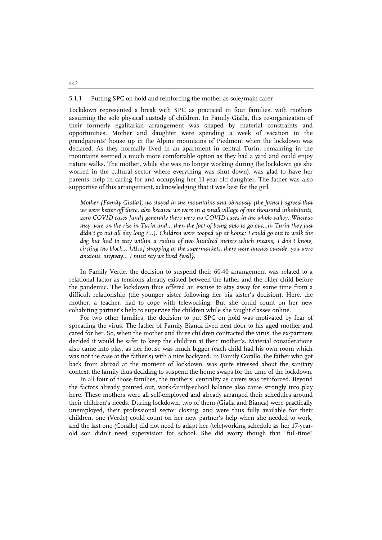#### 5.1.1 Putting SPC on hold and reinforcing the mother as sole/main carer

Lockdown represented a break with SPC as practiced in four families, with mothers assuming the sole physical custody of children. In Family Gialla, this re-organization of their formerly egalitarian arrangement was shaped by material constraints and opportunities. Mother and daughter were spending a week of vacation in the grandparents' house up in the Alpine mountains of Piedmont when the lockdown was declared. As they normally lived in an apartment in central Turin, remaining in the mountains seemed a much more comfortable option as they had a yard and could enjoy nature walks. The mother, while she was no longer working during the lockdown (as she worked in the cultural sector where everything was shut down), was glad to have her parents' help in caring for and occupying her 11-year-old daughter. The father was also supportive of this arrangement, acknowledging that it was best for the girl.

*Mother (Family Gialla): we stayed in the mountains and obviously {the father} agreed that we were better off there, also because we were in a small village of one thousand inhabitants, zero COVID cases {and} generally there were no COVID cases in the whole valley. Whereas they were on the rise in Turin and... then the fact of being able to go out...in Turin they just*  didn't go out all day long (...). Children were cooped up at home; I could go out to walk the dog but had to stay within a radius of two hundred meters which means, I don't know, *circling the block… {Also} shopping at the supermarkets, there were queues outside, you were anxious, anyway... I must say we lived {well}.*

In Family Verde, the decision to suspend their 60-40 arrangement was related to a relational factor as tensions already existed between the father and the older child before the pandemic. The lockdown thus offered an excuse to stay away for some time from a difficult relationship (the younger sister following her big sister's decision). Here, the mother, a teacher, had to cope with teleworking. But she could count on her new cohabiting partner's help to supervise the children while she taught classes online.

For two other families, the decision to put SPC on hold was motivated by fear of spreading the virus. The father of Family Bianca lived next door to his aged mother and cared for her. So, when the mother and three children contracted the virus, the ex-partners decided it would be safer to keep the children at their mother's. Material considerations also came into play, as her house was much bigger (each child had his own room which was not the case at the father's) with a nice backyard. In Family Corallo, the father who got back from abroad at the moment of lockdown, was quite stressed about the sanitary context, the family thus deciding to suspend the home swaps for the time of the lockdown.

In all four of those families, the mothers' centrality as carers was reinforced. Beyond the factors already pointed out, work-family-school balance also came strongly into play here. These mothers were all self-employed and already arranged their schedules around their children's needs. During lockdown, two of them (Gialla and Bianca) were practically unemployed, their professional sector closing, and were thus fully available for their children, one (Verde) could count on her new partner's help when she needed to work, and the last one (Corallo) did not need to adapt her (tele)working schedule as her 17-yearold son didn't need supervision for school. She did worry though that "full-time"

442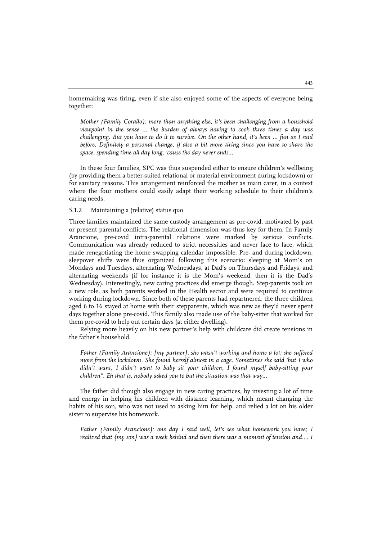homemaking was tiring, even if she also enjoyed some of the aspects of everyone being together:

*Mother (Family Corallo): more than anything else, it's been challenging from a household viewpoint in the sense ... the burden of always having to cook three times a day was challenging. But you have to do it to survive. On the other hand, it's been ... fun as I said before. Definitely a personal change, if also a bit more tiring since you have to share the space, spending time all day long, 'cause the day never ends...*

In these four families, SPC was thus suspended either to ensure children's wellbeing (by providing them a better-suited relational or material environment during lockdown) or for sanitary reasons. This arrangement reinforced the mother as main carer, in a context where the four mothers could easily adapt their working schedule to their children's caring needs.

#### 5.1.2 Maintaining a (relative) status quo

Three families maintained the same custody arrangement as pre-covid, motivated by past or present parental conflicts. The relational dimension was thus key for them. In Family Arancione, pre-covid intra-parental relations were marked by serious conflicts. Communication was already reduced to strict necessities and never face to face, which made renegotiating the home swapping calendar impossible. Pre- and during lockdown, sleepover shifts were thus organized following this scenario: sleeping at Mom's on Mondays and Tuesdays, alternating Wednesdays, at Dad's on Thursdays and Fridays, and alternating weekends (if for instance it is the Mom's weekend, then it is the Dad's Wednesday). Interestingly, new caring practices did emerge though. Step-parents took on a new role, as both parents worked in the Health sector and were required to continue working during lockdown. Since both of these parents had repartnered, the three children aged 6 to 16 stayed at home with their stepparents, which was new as they'd never spent days together alone pre-covid. This family also made use of the baby-sitter that worked for them pre-covid to help out certain days (at either dwelling).

Relying more heavily on his new partner's help with childcare did create tensions in the father's household.

*Father (Family Arancione): {my partner}, she wasn't working and home a lot; she suffered more from the lockdown. She found herself almost in a cage. Sometimes she said 'but I who didn't want, I didn't want to baby sit your children, I found myself baby-sitting your children". Eh that is, nobody asked you to but the situation was that way…*

The father did though also engage in new caring practices, by investing a lot of time and energy in helping his children with distance learning, which meant changing the habits of his son, who was not used to asking him for help, and relied a lot on his older sister to supervise his homework.

*Father (Family Arancione): one day I said well, let's see what homework you have; I realized that {my son} was a week behind and then there was a moment of tension and.... I*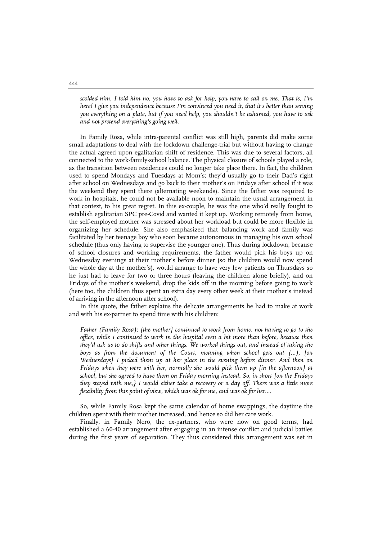*scolded him, I told him no, you have to ask for help, you have to call on me. That is, I'm here! I give you independence because I'm convinced you need it, that it's better than serving you everything on a plate, but if you need help, you shouldn't be ashamed, you have to ask and not pretend everything's going well.*

In Family Rosa, while intra-parental conflict was still high, parents did make some small adaptations to deal with the lockdown challenge-trial but without having to change the actual agreed upon egalitarian shift of residence. This was due to several factors, all connected to the work-family-school balance. The physical closure of schools played a role, as the transition between residences could no longer take place there. In fact, the children used to spend Mondays and Tuesdays at Mom's; they'd usually go to their Dad's right after school on Wednesdays and go back to their mother's on Fridays after school if it was the weekend they spent there (alternating weekends). Since the father was required to work in hospitals, he could not be available noon to maintain the usual arrangement in that context, to his great regret. In this ex-couple, he was the one who'd really fought to establish egalitarian SPC pre-Covid and wanted it kept up. Working remotely from home, the self-employed mother was stressed about her workload but could be more flexible in organizing her schedule. She also emphasized that balancing work and family was facilitated by her teenage boy who soon became autonomous in managing his own school schedule (thus only having to supervise the younger one). Thus during lockdown, because of school closures and working requirements, the father would pick his boys up on Wednesday evenings at their mother's before dinner (so the children would now spend the whole day at the mother's), would arrange to have very few patients on Thursdays so he just had to leave for two or three hours (leaving the children alone briefly), and on Fridays of the mother's weekend, drop the kids off in the morning before going to work (here too, the children thus spent an extra day every other week at their mother's instead of arriving in the afternoon after school).

In this quote, the father explains the delicate arrangements he had to make at work and with his ex-partner to spend time with his children:

*Father (Family Rosa): {the mother} continued to work from home, not having to go to the office, while I continued to work in the hospital even a bit more than before, because then they'd ask us to do shifts and other things. We worked things out, and instead of taking the boys as from the document of the Court, meaning when school gets out (...), {on Wednesdays} I picked them up at her place in the evening before dinner. And then on Fridays when they were with her, normally she would pick them up {in the afternoon} at school, but she agreed to have them on Friday morning instead. So, in short {on the Fridays they stayed with me,} I would either take a recovery or a day off. There was a little more flexibility from this point of view, which was ok for me, and was ok for her....*

So, while Family Rosa kept the same calendar of home swappings, the daytime the children spent with their mother increased, and hence so did her care work.

Finally, in Family Nero, the ex-partners, who were now on good terms, had established a 60-40 arrangement after engaging in an intense conflict and judicial battles during the first years of separation. They thus considered this arrangement was set in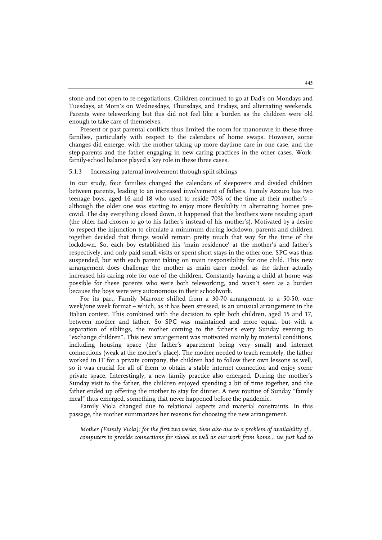stone and not open to re-negotiations. Children continued to go at Dad's on Mondays and Tuesdays, at Mom's on Wednesdays, Thursdays, and Fridays, and alternating weekends. Parents were teleworking but this did not feel like a burden as the children were old enough to take care of themselves.

Present or past parental conflicts thus limited the room for manoeuvre in these three families, particularly with respect to the calendars of home swaps. However, some changes did emerge, with the mother taking up more daytime care in one case, and the step-parents and the father engaging in new caring practices in the other cases. Workfamily-school balance played a key role in these three cases.

#### 5.1.3 Increasing paternal involvement through split siblings

In our study, four families changed the calendars of sleepovers and divided children between parents, leading to an increased involvement of fathers. Family Azzuro has two teenage boys, aged 16 and 18 who used to reside 70% of the time at their mother's – although the older one was starting to enjoy more flexibility in alternating homes precovid. The day everything closed down, it happened that the brothers were residing apart (the older had chosen to go to his father's instead of his mother's). Motivated by a desire to respect the injunction to circulate a minimum during lockdown, parents and children together decided that things would remain pretty much that way for the time of the lockdown. So, each boy established his 'main residence' at the mother's and father's respectively, and only paid small visits or spent short stays in the other one. SPC was thus suspended, but with each parent taking on main responsibility for one child. This new arrangement does challenge the mother as main carer model, as the father actually increased his caring role for one of the children. Constantly having a child at home was possible for these parents who were both teleworking, and wasn't seen as a burden because the boys were very autonomous in their schoolwork.

For its part, Family Marrone shifted from a 30-70 arrangement to a 50-50, one week/one week format – which, as it has been stressed, is an unusual arrangement in the Italian context. This combined with the decision to split both children, aged 15 and 17, between mother and father. So SPC was maintained and more equal, but with a separation of siblings, the mother coming to the father's every Sunday evening to "exchange children". This new arrangement was motivated mainly by material conditions, including housing space (the father's apartment being very small) and internet connections (weak at the mother's place). The mother needed to teach remotely, the father worked in IT for a private company, the children had to follow their own lessons as well, so it was crucial for all of them to obtain a stable internet connection and enjoy some private space. Interestingly, a new family practice also emerged. During the mother's Sunday visit to the father, the children enjoyed spending a bit of time together, and the father ended up offering the mother to stay for dinner. A new routine of Sunday "family meal" thus emerged, something that never happened before the pandemic.

Family Viola changed due to relational aspects and material constraints. In this passage, the mother summarizes her reasons for choosing the new arrangement.

*Mother (Family Viola): for the first two weeks, then also due to a problem of availability of... computers to provide connections for school as well as our work from home... we just had to*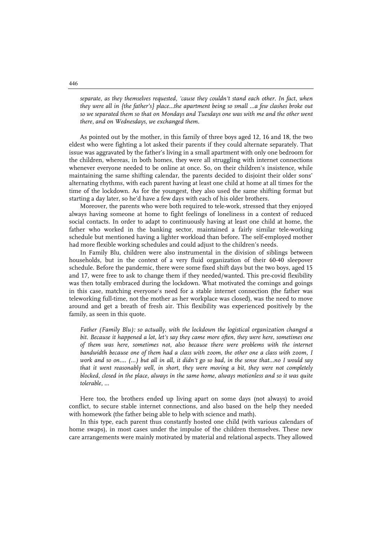*separate, as they themselves requested, 'cause they couldn't stand each other. In fact, when they were all in {the father's} place...the apartment being so small ...a few clashes broke out so we separated them so that on Mondays and Tuesdays one was with me and the other went there, and on Wednesdays, we exchanged them.*

As pointed out by the mother, in this family of three boys aged 12, 16 and 18, the two eldest who were fighting a lot asked their parents if they could alternate separately. That issue was aggravated by the father's living in a small apartment with only one bedroom for the children, whereas, in both homes, they were all struggling with internet connections whenever everyone needed to be online at once. So, on their children's insistence, while maintaining the same shifting calendar, the parents decided to disjoint their older sons' alternating rhythms, with each parent having at least one child at home at all times for the time of the lockdown. As for the youngest, they also used the same shifting format but starting a day later, so he'd have a few days with each of his older brothers.

Moreover, the parents who were both required to tele-work, stressed that they enjoyed always having someone at home to fight feelings of loneliness in a context of reduced social contacts. In order to adapt to continuously having at least one child at home, the father who worked in the banking sector, maintained a fairly similar tele-working schedule but mentioned having a lighter workload than before. The self-employed mother had more flexible working schedules and could adjust to the children's needs.

In Family Blu, children were also instrumental in the division of siblings between households, but in the context of a very fluid organization of their 60-40 sleepover schedule. Before the pandemic, there were some fixed shift days but the two boys, aged 15 and 17, were free to ask to change them if they needed/wanted. This pre-covid flexibility was then totally embraced during the lockdown. What motivated the comings and goings in this case, matching everyone's need for a stable internet connection (the father was teleworking full-time, not the mother as her workplace was closed), was the need to move around and get a breath of fresh air. This flexibility was experienced positively by the family, as seen in this quote.

*Father (Family Blu): so actually, with the lockdown the logistical organization changed a bit. Because it happened a lot, let's say they came more often, they were here, sometimes one of them was here, sometimes not, also because there were problems with the internet bandwidth because one of them had a class with zoom, the other one a class with zoom, I work and so on.... (…) but all in all, it didn't go so bad, in the sense that...no I would say that it went reasonably well, in short, they were moving a bit, they were not completely blocked, closed in the place, always in the same home, always motionless and so it was quite tolerable, ...*

Here too, the brothers ended up living apart on some days (not always) to avoid conflict, to secure stable internet connections, and also based on the help they needed with homework (the father being able to help with science and math).

In this type, each parent thus constantly hosted one child (with various calendars of home swaps), in most cases under the impulse of the children themselves. These new care arrangements were mainly motivated by material and relational aspects. They allowed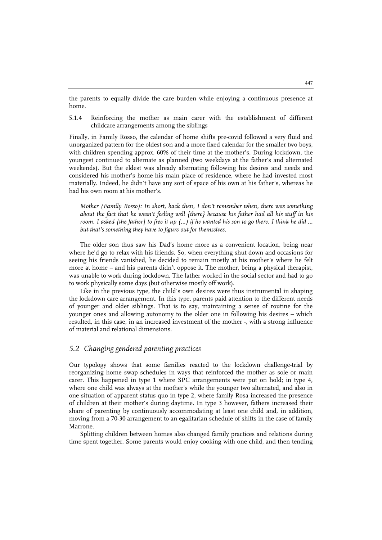the parents to equally divide the care burden while enjoying a continuous presence at home.

5.1.4 Reinforcing the mother as main carer with the establishment of different childcare arrangements among the siblings

Finally, in Family Rosso, the calendar of home shifts pre-covid followed a very fluid and unorganized pattern for the oldest son and a more fixed calendar for the smaller two boys, with children spending approx. 60% of their time at the mother's. During lockdown, the youngest continued to alternate as planned (two weekdays at the father's and alternated weekends). But the eldest was already alternating following his desires and needs and considered his mother's home his main place of residence, where he had invested most materially. Indeed, he didn't have any sort of space of his own at his father's, whereas he had his own room at his mother's.

*Mother (Family Rosso): In short, back then, I don't remember when, there was something about the fact that he wasn't feeling well {there} because his father had all his stuff in his room. I asked {the father} to free it up (…) if he wanted his son to go there. I think he did … but that's something they have to figure out for themselves.*

The older son thus saw his Dad's home more as a convenient location, being near where he'd go to relax with his friends. So, when everything shut down and occasions for seeing his friends vanished, he decided to remain mostly at his mother's where he felt more at home – and his parents didn't oppose it. The mother, being a physical therapist, was unable to work during lockdown. The father worked in the social sector and had to go to work physically some days (but otherwise mostly off work).

Like in the previous type, the child's own desires were thus instrumental in shaping the lockdown care arrangement. In this type, parents paid attention to the different needs of younger and older siblings. That is to say, maintaining a sense of routine for the younger ones and allowing autonomy to the older one in following his desires – which resulted, in this case, in an increased investment of the mother -, with a strong influence of material and relational dimensions.

#### *5.2 Changing gendered parenting practices*

Our typology shows that some families reacted to the lockdown challenge-trial by reorganizing home swap schedules in ways that reinforced the mother as sole or main carer. This happened in type 1 where SPC arrangements were put on hold; in type 4, where one child was always at the mother's while the younger two alternated, and also in one situation of apparent status quo in type 2, where family Rosa increased the presence of children at their mother's during daytime. In type 3 however, fathers increased their share of parenting by continuously accommodating at least one child and, in addition, moving from a 70-30 arrangement to an egalitarian schedule of shifts in the case of family Marrone.

Splitting children between homes also changed family practices and relations during time spent together. Some parents would enjoy cooking with one child, and then tending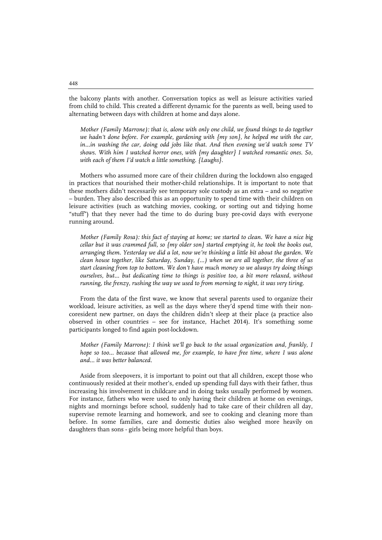the balcony plants with another. Conversation topics as well as leisure activities varied from child to child. This created a different dynamic for the parents as well, being used to alternating between days with children at home and days alone.

*Mother (Family Marrone): that is, alone with only one child, we found things to do together*  we hadn't done before. For example, gardening with {my son}, he helped me with the car, *in...in washing the car, doing odd jobs like that. And then evening we'd watch some TV shows. With him I watched horror ones, with {my daughter} I watched romantic ones. So, with each of them I'd watch a little something. {Laughs}.*

Mothers who assumed more care of their children during the lockdown also engaged in practices that nourished their mother-child relationships. It is important to note that these mothers didn't necessarily see temporary sole custody as an extra – and so negative – burden. They also described this as an opportunity to spend time with their children on leisure activities (such as watching movies, cooking, or sorting out and tidying home "stuff") that they never had the time to do during busy pre-covid days with everyone running around.

*Mother (Family Rosa): this fact of staying at home; we started to clean. We have a nice big cellar but it was crammed full, so {my older son} started emptying it, he took the books out, arranging them. Yesterday we did a lot, now we're thinking a little bit about the garden. We clean house together, like Saturday, Sunday, (…) when we are all together, the three of us start cleaning from top to bottom. We don't have much money so we always try doing things ourselves, but... but dedicating time to things is positive too, a bit more relaxed, without running, the frenzy, rushing the way we used to from morning to night, it was very tiring.*

From the data of the first wave, we know that several parents used to organize their workload, leisure activities, as well as the days where they'd spend time with their noncoresident new partner, on days the children didn't sleep at their place (a practice also observed in other countries – see for instance, Hachet 2014). It's something some participants longed to find again post-lockdown.

*Mother (Family Marrone): I think we'll go back to the usual organization and, frankly, I hope so too... because that allowed me, for example, to have free time, where I was alone and... it was better balanced.*

Aside from sleepovers, it is important to point out that all children, except those who continuously resided at their mother's, ended up spending full days with their father, thus increasing his involvement in childcare and in doing tasks usually performed by women. For instance, fathers who were used to only having their children at home on evenings, nights and mornings before school, suddenly had to take care of their children all day, supervise remote learning and homework, and see to cooking and cleaning more than before. In some families, care and domestic duties also weighed more heavily on daughters than sons - girls being more helpful than boys.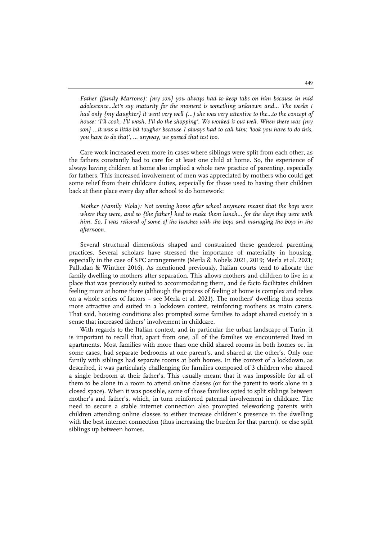*Father (family Marrone): {my son} you always had to keep tabs on him because in mid adolescence...let's say maturity for the moment is something unknown and... The weeks I had only {my daughter} it went very well (…) she was very attentive to the...to the concept of house: 'I'll cook, I'll wash, I'll do the shopping'. We worked it out well. When there was {my son} ...it was a little bit tougher because I always had to call him: 'look you have to do this, you have to do that', … anyway, we passed that test too.*

Care work increased even more in cases where siblings were split from each other, as the fathers constantly had to care for at least one child at home. So, the experience of always having children at home also implied a whole new practice of parenting, especially for fathers. This increased involvement of men was appreciated by mothers who could get some relief from their childcare duties, especially for those used to having their children back at their place every day after school to do homework:

*Mother (Family Viola): Not coming home after school anymore meant that the boys were where they were, and so {the father} had to make them lunch... for the days they were with him.* So, I was relieved of some of the lunches with the boys and managing the boys in the *afternoon.*

Several structural dimensions shaped and constrained these gendered parenting practices. Several scholars have stressed the importance of materiality in housing, especially in the case of SPC arrangements (Merla & Nobels 2021, 2019; Merla et al. 2021; Palludan & Winther 2016). As mentioned previously, Italian courts tend to allocate the family dwelling to mothers after separation. This allows mothers and children to live in a place that was previously suited to accommodating them, and de facto facilitates children feeling more at home there (although the process of feeling at home is complex and relies on a whole series of factors – see Merla et al. 2021). The mothers' dwelling thus seems more attractive and suited in a lockdown context, reinforcing mothers as main carers. That said, housing conditions also prompted some families to adapt shared custody in a sense that increased fathers' involvement in childcare.

With regards to the Italian context, and in particular the urban landscape of Turin, it is important to recall that, apart from one, all of the families we encountered lived in apartments. Most families with more than one child shared rooms in both homes or, in some cases, had separate bedrooms at one parent's, and shared at the other's. Only one family with siblings had separate rooms at both homes. In the context of a lockdown, as described, it was particularly challenging for families composed of 3 children who shared a single bedroom at their father's. This usually meant that it was impossible for all of them to be alone in a room to attend online classes (or for the parent to work alone in a closed space). When it was possible, some of those families opted to split siblings between mother's and father's, which, in turn reinforced paternal involvement in childcare. The need to secure a stable internet connection also prompted teleworking parents with children attending online classes to either increase children's presence in the dwelling with the best internet connection (thus increasing the burden for that parent), or else split siblings up between homes.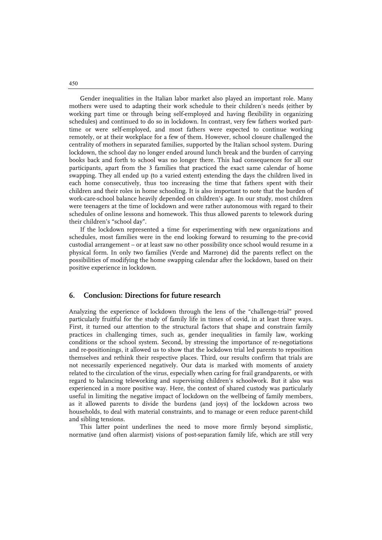Gender inequalities in the Italian labor market also played an important role. Many mothers were used to adapting their work schedule to their children's needs (either by working part time or through being self-employed and having flexibility in organizing schedules) and continued to do so in lockdown. In contrast, very few fathers worked parttime or were self-employed, and most fathers were expected to continue working remotely, or at their workplace for a few of them. However, school closure challenged the centrality of mothers in separated families, supported by the Italian school system. During lockdown, the school day no longer ended around lunch break and the burden of carrying books back and forth to school was no longer there. This had consequences for all our participants, apart from the 3 families that practiced the exact same calendar of home swapping. They all ended up (to a varied extent) extending the days the children lived in each home consecutively, thus too increasing the time that fathers spent with their children and their roles in home schooling. It is also important to note that the burden of work-care-school balance heavily depended on children's age. In our study, most children were teenagers at the time of lockdown and were rather autonomous with regard to their schedules of online lessons and homework. This thus allowed parents to telework during their children's "school day".

If the lockdown represented a time for experimenting with new organizations and schedules, most families were in the end looking forward to resuming to the pre-covid custodial arrangement – or at least saw no other possibility once school would resume in a physical form. In only two families (Verde and Marrone) did the parents reflect on the possibilities of modifying the home swapping calendar after the lockdown, based on their positive experience in lockdown.

#### **6. Conclusion: Directions for future research**

Analyzing the experience of lockdown through the lens of the "challenge-trial" proved particularly fruitful for the study of family life in times of covid, in at least three ways. First, it turned our attention to the structural factors that shape and constrain family practices in challenging times, such as, gender inequalities in family law, working conditions or the school system. Second, by stressing the importance of re-negotiations and re-positionings, it allowed us to show that the lockdown trial led parents to reposition themselves and rethink their respective places. Third, our results confirm that trials are not necessarily experienced negatively. Our data is marked with moments of anxiety related to the circulation of the virus, especially when caring for frail grandparents, or with regard to balancing teleworking and supervising children's schoolwork. But it also was experienced in a more positive way. Here, the context of shared custody was particularly useful in limiting the negative impact of lockdown on the wellbeing of family members, as it allowed parents to divide the burdens (and joys) of the lockdown across two households, to deal with material constraints, and to manage or even reduce parent-child and sibling tensions.

This latter point underlines the need to move more firmly beyond simplistic, normative (and often alarmist) visions of post-separation family life, which are still very

450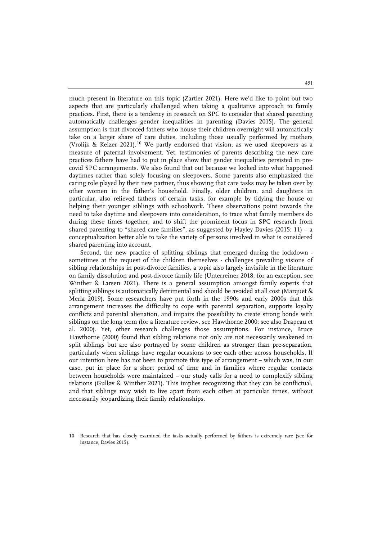much present in literature on this topic (Zartler 2021). Here we'd like to point out two aspects that are particularly challenged when taking a qualitative approach to family practices. First, there is a tendency in research on SPC to consider that shared parenting automatically challenges gender inequalities in parenting (Davies 2015). The general assumption is that divorced fathers who house their children overnight will automatically take on a larger share of care duties, including those usually performed by mothers (Vrolijk & Keizer 2021).<sup>[10](#page-22-0)</sup> We partly endorsed that vision, as we used sleepovers as a measure of paternal involvement. Yet, testimonies of parents describing the new care practices fathers have had to put in place show that gender inequalities persisted in precovid SPC arrangements. We also found that out because we looked into what happened daytimes rather than solely focusing on sleepovers. Some parents also emphasized the caring role played by their new partner, thus showing that care tasks may be taken over by other women in the father's household. Finally, older children, and daughters in particular, also relieved fathers of certain tasks, for example by tidying the house or helping their younger siblings with schoolwork. These observations point towards the need to take daytime and sleepovers into consideration, to trace what family members do during these times together, and to shift the prominent focus in SPC research from shared parenting to "shared care families", as suggested by Hayley Davies (2015: 11) – a conceptualization better able to take the variety of persons involved in what is considered shared parenting into account.

Second, the new practice of splitting siblings that emerged during the lockdown sometimes at the request of the children themselves - challenges prevailing visions of sibling relationships in post-divorce families, a topic also largely invisible in the literature on family dissolution and post-divorce family life (Unterreiner 2018; for an exception, see Winther & Larsen 2021). There is a general assumption amongst family experts that splitting siblings is automatically detrimental and should be avoided at all cost (Marquet & Merla 2019). Some researchers have put forth in the 1990s and early 2000s that this arrangement increases the difficulty to cope with parental separation, supports loyalty conflicts and parental alienation, and impairs the possibility to create strong bonds with siblings on the long term (for a literature review, see Hawthorne 2000; see also Drapeau et al. 2000). Yet, other research challenges those assumptions. For instance, Bruce Hawthorne (2000) found that sibling relations not only are not necessarily weakened in split siblings but are also portrayed by some children as stronger than pre-separation, particularly when siblings have regular occasions to see each other across households. If our intention here has not been to promote this type of arrangement – which was, in our case, put in place for a short period of time and in families where regular contacts between households were maintained – our study calls for a need to complexify sibling relations (Gulløv & Winther 2021). This implies recognizing that they can be conflictual, and that siblings may wish to live apart from each other at particular times, without necessarily jeopardizing their family relationships.

j

<span id="page-22-0"></span><sup>10</sup> Research that has closely examined the tasks actually performed by fathers is extremely rare (see for instance, Davies 2015).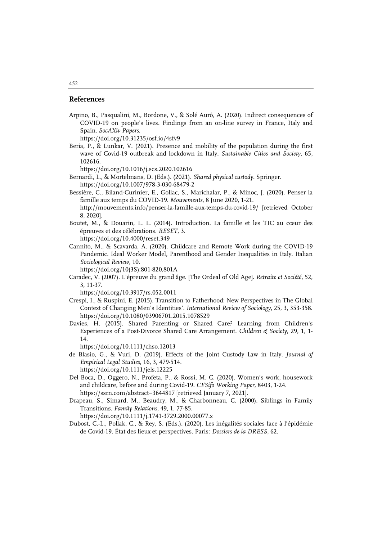#### **References**

Arpino, B., Pasqualini, M., Bordone, V., & Solé Auró, A. (2020). Indirect consequences of COVID-19 on people's lives. Findings from an on-line survey in France, Italy and Spain. *SocAXiv Papers*.

https://doi.org/10.31235/osf.io/4sfv9

Beria, P., & Lunkar, V. (2021). Presence and mobility of the population during the first wave of Covid-19 outbreak and lockdown in Italy. *Sustainable Cities and Society*, 65, 102616.

https://doi.org/10.1016/j.scs.2020.102616

- Bernardi, L., & Mortelmans, D. (Eds.). (2021). *Shared physical custody*. Springer. https://doi.org/10.1007/978-3-030-68479-2
- Bessière, C., Biland-Curinier, E., Gollac, S., Marichalar, P., & Minoc, J. (2020). Penser la famille aux temps du COVID-19. *Mouvements*, 8 June 2020, 1-21. http://mouvements.info/penser-la-famille-aux-temps-du-covid-19/ [retrieved October 8, 2020].
- Boutet, M., & Douarin, L. L. (2014). Introduction. La famille et les TIC au cœur des épreuves et des célébrations. *RESET*, 3. https://doi.org/10.4000/reset.349
- Cannito, M., & Scavarda, A. (2020). Childcare and Remote Work during the COVID-19 Pandemic. Ideal Worker Model, Parenthood and Gender Inequalities in Italy. Italian *Sociological Review*, 10.

https://doi.org/10(3S):801-820,801A

Caradec, V. (2007). L'épreuve du grand âge. [The Ordeal of Old Age]. *Retraite et Société*, 52, 3, 11-37.

https://doi.org/10.3917/rs.052.0011

- Crespi, I., & Ruspini, E. (2015). Transition to Fatherhood: New Perspectives in The Global Context of Changing Men's Identities'. *International Review of Sociology*, 25, 3, 353-358. https://doi.org/10.1080/03906701.2015.1078529
- Davies, H. (2015). Shared Parenting or Shared Care? Learning from Children's Experiences of a Post-Divorce Shared Care Arrangement. *Children & Society*, 29, 1, 1- 14.

https://doi.org/10.1111/chso.12013

- de Blasio, G., & Vuri, D. (2019). Effects of the Joint Custody Law in Italy. *Journal of Empirical Legal Studies*, 16, 3, 479-514. https://doi.org/10.1111/jels.12225
- Del Boca, D., Oggero, N., Profeta, P., & Rossi, M. C. (2020). Women's work, housework and childcare, before and during Covid-19. *CESifo Working Paper*, 8403, 1-24. https://ssrn.com/abstract=3644817 [retrieved January 7, 2021].
- Drapeau, S., Simard, M., Beaudry, M., & Charbonneau, C. (2000). Siblings in Family Transitions. *Family Relations*, 49, 1, 77-85.

https://doi.org/10.1111/j.1741-3729.2000.00077.x

Dubost, C.-L., Pollak, C., & Rey, S. (Eds.). (2020). Les inégalités sociales face à l'épidémie de Covid-19. État des lieux et perspectives. Paris: *Dossiers de la DRESS*, 62.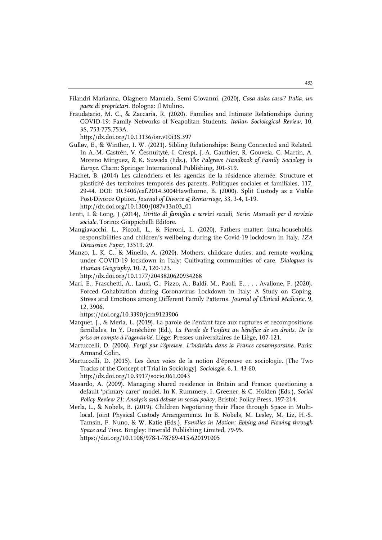- Filandri Marianna, Olagnero Manuela, Semi Giovanni, (2020), *Casa dolce casa? Italia, un paese di proprietari*. Bologna: Il Mulino.
- Fraudatario, M. C., & Zaccaria, R. (2020). Families and Intimate Relationships during COVID-19: Family Networks of Neapolitan Students. *Italian Sociological Review*, 10, 3S, 753-775,753A.

http://dx.doi.org/10.13136/isr.v10i3S.397

- Gulløv, E., & Winther, I. W. (2021). Sibling Relationships: Being Connected and Related. In A.-M. Castrén, V. Česnuitytė, I. Crespi, J.-A. Gauthier, R. Gouveia, C. Martin, A. Moreno Mínguez, & K. Suwada (Eds.), *The Palgrave Handbook of Family Sociology in Europe.* Cham: Springer International Publishing, 301-319.
- Hachet, B. (2014) Les calendriers et les agendas de la résidence alternée. Structure et plasticité des territoires temporels des parents. Politiques sociales et familiales, 117, 29-44. DOI: 10.3406/caf.2014.3004Hawthorne, B. (2000). Split Custody as a Viable Post-Divorce Option. *Journal of Divorce & Remarriage*, 33, 3-4, 1-19. http://dx.doi.org/10.1300/J087v33n03\_01
- Lenti, L & Long, J (2014), *Diritto di famiglia e servizi sociali, Serie: Manuali per il servizio sociale.* Torino: Giappichelli Editore.
- Mangiavacchi, L., Piccoli, L., & Pieroni, L. (2020). Fathers matter: intra-households responsibilities and children's wellbeing during the Covid-19 lockdown in Italy. *IZA Discussion Paper*, 13519, 29.
- Manzo, L. K. C., & Minello, A. (2020). Mothers, childcare duties, and remote working under COVID-19 lockdown in Italy: Cultivating communities of care. *Dialogues in Human Geography*, 10, 2, 120-123.

http://dx.doi.org/10.1177/2043820620934268

Mari, E., Fraschetti, A., Lausi, G., Pizzo, A., Baldi, M., Paoli, E., . . . Avallone, F. (2020). Forced Cohabitation during Coronavirus Lockdown in Italy: A Study on Coping, Stress and Emotions among Different Family Patterns. *Journal of Clinical Medicine*, 9, 12, 3906.

https://doi.org/10.3390/jcm9123906

- Marquet, J., & Merla, L. (2019). La parole de l'enfant face aux ruptures et recompositions familiales. In Y. Denéchère (Ed.), *La Parole de l'enfant au bénéfice de ses droits. De la prise en compte à l'agentivité*. Liège: Presses universitaires de Liège, 107-121.
- Martuccelli, D. (2006). *Forgé par l'épreuve. L'individu dans la France contemporaine*. Paris: Armand Colin.
- Martuccelli, D. (2015). Les deux voies de la notion d'épreuve en sociologie. [The Two Tracks of the Concept of Trial in Sociology]. *Sociologie*, 6, 1, 43-60. http://dx.doi.org/10.3917/socio.061.0043
- Masardo, A. (2009). Managing shared residence in Britain and France: questioning a default 'primary carer' model. In K. Rummery, I. Greener, & C. Holden (Eds.), *Social Policy Review 21: Analysis and debate in social policy*. Bristol: Policy Press, 197-214.
- Merla, L., & Nobels, B. (2019). Children Negotiating their Place through Space in Multilocal, Joint Physical Custody Arrangements. In B. Nobels, M. Lesley, M. Liz, H.-S. Tamsin, F. Nuno, & W. Katie (Eds.), *Families in Motion: Ebbing and Flowing through Space and Time*. Bingley: Emerald Publishing Limited, 79-95. https://doi.org/10.1108/978-1-78769-415-620191005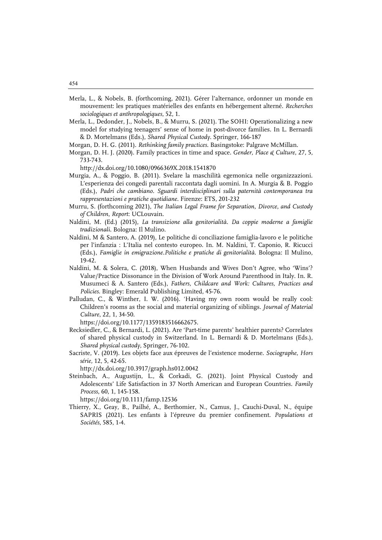- Merla, L., & Nobels, B. (forthcoming, 2021). Gérer l'alternance, ordonner un monde en mouvement: les pratiques matérielles des enfants en hébergement alterné. *Recherches sociologiques et anthropologiques*, 52, 1.
- Merla, L., Dedonder, J., Nobels, B., & Murru, S. (2021). The SOHI: Operationalizing a new model for studying teenagers' sense of home in post-divorce families. In L. Bernardi & D. Mortelmans (Eds.), *Shared Physical Custody*. Springer, 166-187
- Morgan, D. H. G. (2011). *Rethinking family practices*. Basingstoke: Palgrave McMillan.
- Morgan, D. H. J. (2020). Family practices in time and space. *Gender, Place & Culture*, 27, 5, 733-743.

http://dx.doi.org/10.1080/0966369X.2018.1541870

- Murgia, A., & Poggio, B. (2011). Svelare la maschilità egemonica nelle organizzazioni. L'esperienza dei congedi parentali raccontata dagli uomini. In A. Murgia & B. Poggio (Eds.), *Padri che cambiano. Sguardi interdisciplinari sulla paternità contemporanea tra rappresentazioni e pratiche quotidiane*. Firenze: ETS, 201-232
- Murru, S. (forthcoming 2021), *The Italian Legal Frame for Separation, Divorce, and Custody of Children*, *Report*: UCLouvain.
- Naldini, M. (Ed.) (2015), *La transizione alla genitorialità. Da coppie moderne a famiglie tradizionali*. Bologna: Il Mulino.
- Naldini, M & Santero, A. (2019), Le politiche di conciliazione famiglia-lavoro e le politiche per l'infanzia : L'Italia nel contesto europeo. In. M. Naldini, T. Caponio, R. Ricucci (Eds.), *Famiglie in emigrazione.Politiche e pratiche di genitorialità*. Bologna: Il Mulino, 19-42.
- Naldini, M. & Solera, C. (2018), When Husbands and Wives Don't Agree, who 'Wins'? Value/Practice Dissonance in the Division of Work Around Parenthood in Italy. In. R. Musumeci & A. Santero (Eds.), *Fathers, Childcare and Work: Cultures, Practices and Policies*. Bingley: Emerald Publishing Limited, 45-76.
- Palludan, C., & Winther, I. W. (2016). 'Having my own room would be really cool: Children's rooms as the social and material organizing of siblings. *Journal of Material Culture*, 22, 1, 34-50.

https://doi.org/10.1177/1359183516662675.

- Recksiedler, C., & Bernardi, L. (2021). Are 'Part-time parents' healthier parents? Correlates of shared physical custody in Switzerland. In L. Bernardi & D. Mortelmans (Eds.), *Shared physical custody*, Springer, 76-102.
- Sacriste, V. (2019). Les objets face aux épreuves de l'existence moderne. *Sociographe, Hors série,* 12, 5, 42-65.

http://dx.doi.org/10.3917/graph.hs012.0042

Steinbach, A., Augustijn, L., & Corkadi, G. (2021). Joint Physical Custody and Adolescents' Life Satisfaction in 37 North American and European Countries. *Family Process*, 60, 1, 145-158.

https://doi.org/10.1111/famp.12536

Thierry, X., Geay, B., Pailhé, A., Berthomier, N., Camus, J., Cauchi-Duval, N., équipe SAPRIS (2021). Les enfants à l'épreuve du premier confinement. *Populations et Sociétés*, 585, 1-4.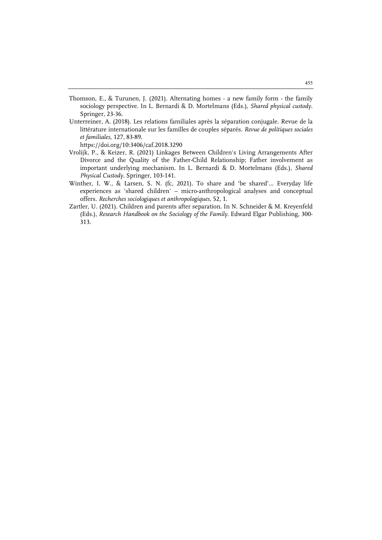- Thomson, E., & Turunen, J. (2021). Alternating homes a new family form the family sociology perspective. In L. Bernardi & D. Mortelmans (Eds.), *Shared physical custody*. Springer, 23-36.
- Unterreiner, A. (2018). Les relations familiales après la séparation conjugale. Revue de la littérature internationale sur les familles de couples séparés. *Revue de politiques sociales et familiales*, 127, 83-89.

https://doi.org/10:3406/caf.2018.3290

- Vrolijk, P., & Keizer, R. (2021) Linkages Between Children's Living Arrangements After Divorce and the Quality of the Father-Child Relationship; Father involvement as important underlying mechanism. In L. Bernardi & D. Mortelmans (Eds.), *Shared Physical Custody*. Springer, 103-141.
- Winther, I. W., & Larsen, S. N. (fc, 2021). To share and 'be shared'… Everyday life experiences as 'shared children' – micro-anthropological analyses and conceptual offers. *Recherches sociologiques et anthropologiques*, 52, 1.
- Zartler, U. (2021). Children and parents after separation. In N. Schneider & M. Kreyenfeld (Eds.), *Research Handbook on the Sociology of the Family*. Edward Elgar Publishing, 300- 313.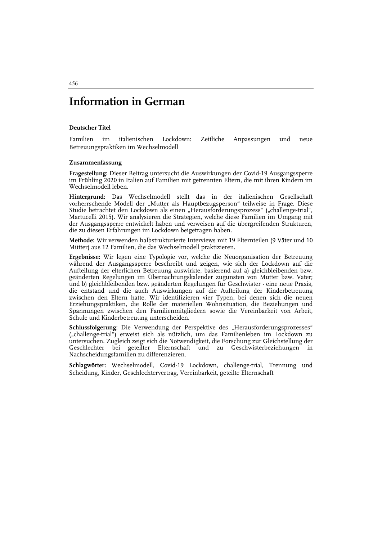## **Information in German**

#### **Deutscher Titel**

Familien im italienischen Lockdown: Zeitliche Anpassungen und neue Betreuungspraktiken im Wechselmodell

#### **Zusammenfassung**

**Fragestellung:** Dieser Beitrag untersucht die Auswirkungen der Covid-19 Ausgangssperre im Frühling 2020 in Italien auf Familien mit getrennten Eltern, die mit ihren Kindern im Wechselmodell leben.

**Hintergrund:** Das Wechselmodell stellt das in der italienischen Gesellschaft vorherrschende Modell der "Mutter als Hauptbezugsperson" teilweise in Frage. Diese Studie betrachtet den Lockdown als einen "Herausforderungsprozess" ("challenge-trial", Martucelli 2015). Wir analysieren die Strategien, welche diese Familien im Umgang mit der Ausgangssperre entwickelt haben und verweisen auf die übergreifenden Strukturen, die zu diesen Erfahrungen im Lockdown beigetragen haben.

**Methode:** Wir verwenden halbstrukturierte Interviews mit 19 Elternteilen (9 Väter und 10 Mütter) aus 12 Familien, die das Wechselmodell praktizieren.

**Ergebnisse:** Wir legen eine Typologie vor, welche die Neuorganisation der Betreuung während der Ausgangssperre beschreibt und zeigen, wie sich der Lockdown auf die Aufteilung der elterlichen Betreuung auswirkte, basierend auf a) gleichbleibenden bzw. geänderten Regelungen im Übernachtungskalender zugunsten von Mutter bzw. Vater; und b) gleichbleibenden bzw. geänderten Regelungen für Geschwister - eine neue Praxis, die entstand und die auch Auswirkungen auf die Aufteilung der Kinderbetreuung zwischen den Eltern hatte. Wir identifizieren vier Typen, bei denen sich die neuen Erziehungspraktiken, die Rolle der materiellen Wohnsituation, die Beziehungen und Spannungen zwischen den Familienmitgliedern sowie die Vereinbarkeit von Arbeit, Schule und Kinderbetreuung unterscheiden.

Schlussfolgerung: Die Verwendung der Perspektive des "Herausforderungsprozesses" ("challenge-trial") erweist sich als nützlich, um das Familienleben im Lockdown zu untersuchen. Zugleich zeigt sich die Notwendigkeit, die Forschung zur Gleichstellung der Geschlechter bei geteilter Elternschaft und zu Geschwisterbeziehungen in Nachscheidungsfamilien zu differenzieren.

**Schlagwörter:** Wechselmodell, Covid-19 Lockdown, challenge-trial, Trennung und Scheidung, Kinder, Geschlechtervertrag, Vereinbarkeit, geteilte Elternschaft